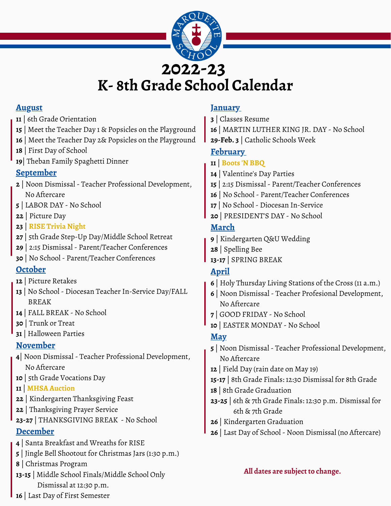

#### **August**

- | 6th Grade Orientation
- | Meet the Teacher Day 1 & Popsicles on the Playground
- | Meet the Teacher Day 2& Popsicles on the Playground
- | First Day of School
- | Theban Family Spaghetti Dinner

### **September**

- | Noon Dismissal Teacher Professional Development, No Aftercare
- | LABOR DAY No School
- | Picture Day
- | **RISE Trivia Night**
- | 5th Grade Step-Up Day/Middle School Retreat
- | 2:15 Dismissal Parent/Teacher Conferences
- | No School Parent/Teacher Conferences

### **October**

- | Picture Retakes
- | No School Diocesan Teacher In-Service Day/FALL BREAK
- | FALL BREAK No School
- | Trunk or Treat
- | Halloween Parties

### **November**

- | Noon Dismissal Teacher Professional Development, No Aftercare
- | 5th Grade Vocations Day

#### | **MHSA Auction**

- | Kindergarten Thanksgiving Feast
- | Thanksgiving Prayer Service
- **23-27** | THANKSGIVING BREAK No School

## **December**

- | Santa Breakfast and Wreaths for RISE
- | Jingle Bell Shootout for Christmas Jars (1:30 p.m.)
- | Christmas Program
- **13-15** | Middle School Finals/Middle School Only Dismissal at 12:30 p.m.

# **January**

- | Classes Resume
- | MARTIN LUTHER KING JR. DAY No School
- **29-Feb. 3** | Catholic Schools Week

# **February**

- | **Boots 'N BBQ**
- | Valentine's Day Parties
- | 2:15 Dismissal Parent/Teacher Conferences
- | No School Parent/Teacher Conferences
- | No School Diocesan In-Service
- | PRESIDENT'S DAY No School

# **March**

- | Kindergarten Q&U Wedding
- | Spelling Bee
- **13-17** | SPRING BREAK

# **April**

- | Holy Thursday Living Stations of the Cross (11 a.m.)
- | Noon Dismissal Teacher Profesional Development, No Aftercare
- | GOOD FRIDAY No School
- | EASTER MONDAY No School

# **May**

- | Noon Dismissal Teacher Professional Development, No Aftercare
- | Field Day (rain date on May 19)
- **15-17** | 8th Grade Finals: 12:30 Dismissal for 8th Grade
- | 8th Grade Graduation
- **23-25** | 6th & 7th Grade Finals: 12:30 p.m. Dismissal for 6th & 7th Grade
- | Kindergarten Graduation
- | Last Day of School Noon Dismissal (no Aftercare)

#### **All dates are subject to change.**

| Last Day of First Semester